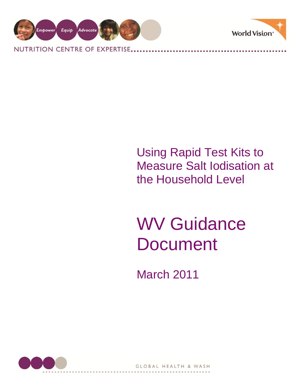

NUTRITION CENTRE OF EXPERTISE.



# Using Rapid Test Kits to Measure Salt Iodisation at the Household Level

# WV Guidance **Document**

March 2011

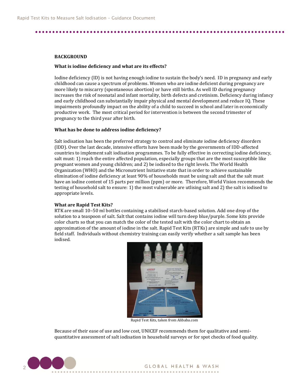#### **BACKGROUND**

#### **What is iodine deficiency and what are its effects?**

Iodine deficiency (ID) is not having enough iodine to sustain the body's need. ID in pregnancy and early childhood can cause a spectrum of problems. Women who are iodine deficient during pregnancy are more likely to miscarry (spontaneous abortion) or have still births. As well ID during pregnancy increases the risk of neonatal and infant mortality, birth defects and cretinism. Deficiency during infancy and early childhood can substantially impair physical and mental development and reduce IQ. These impairments profoundly impact on the ability of a child to succeed in school and later in economically productive work. The most critical period for intervention is between the second trimester of pregnancy to the third year after birth.

#### **What has be done to address iodine deficiency?**

Salt iodisation has been the preferred strategy to control and eliminate iodine deficiency disorders (IDD). Over the last decade, intensive efforts have been made by the governments of IDD-affected countries to implement salt iodisation programmes. To be fully effective in correcting iodine deficiency, salt must: 1) reach the entire affected population, especially groups that are the most susceptible like pregnant women and young children; and 2) be iodised to the right levels. The World Health Organization (WHO) and the Micronutrient Initiative state that in order to achieve sustainable elimination of iodine deficiency at least 90% of households must be using salt and that the salt must have an iodine content of 15 parts per million (ppm) or more. Therefore, World Vision recommends the testing of household salt to ensure: 1) the most vulnerable are utlising salt and 2) the salt is iodised to appropriate levels.

#### **What are Rapid Test Kits?**

RTK are small 10–50 ml bottles containing a stabilised starch-based solution. Add one drop of the solution to a teaspoon of salt. Salt that contains iodine will turn deep blue/purple. Some kits provide color charts so that you can match the color of the tested salt with the color chart to obtain an approximation of the amount of iodine in the salt. Rapid Test Kits (RTKs) are simple and safe to use by field staff. Individuals without chemistry training can easily verify whether a salt sample has been iodised.



Rapid Test Kits, taken from Alibaba.com

Because of their ease of use and low cost, UNICEF recommends them for qualitative and semiquantitative assessment of salt iodisation in household surveys or for spot checks of food quality.

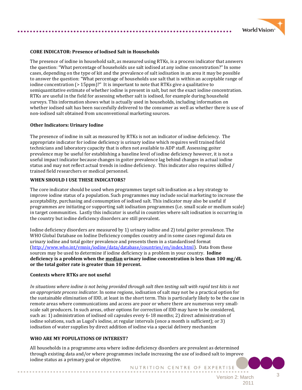

#### **CORE INDICATOR: Presence of Iodised Salt in Households**

The presence of iodine in household salt, as measured using RTKs, is a process indicator that answers the question: "What percentage of households use salt iodised at any iodine concentration?" In some cases, depending on the type of kit and the prevalence of salt iodisation in an area it may be possible to answer the question: "What percentage of households use salt that is within an acceptable range of iodine concentration (> 15ppm)?" It is important to note that RTKs give a qualitative to semiquantitative estimate of whether iodine is present in salt, but not the exact iodine concentration. RTKs are useful in the field for assessing whether salt is iodised, for example during household surveys. This information shows what is actually used in households, including information on whether iodised salt has been succesfully delivered to the consumer as well as whether there is use of non-iodised salt obtained from unconventional marketing sources.

#### **Other Indicators: Urinary Iodine**

The presence of iodine in salt as measured by RTKs is not an indicator of iodine deficiency. The appropriate indicator for iodine deficiency is urinary iodine which requires well trained field technicians and laboratory capacity that is often not available to ADP staff. Assessing goiter prevalence may be useful for establishing a baseline level of iodine deficiency however, it is not a useful impact indicator because changes in goiter prevalence lag behind changes in actual iodine status and may not reflect actual trends in iodine deficiency. This indicator also requires skilled / trained field researchers or medical personnel.

#### **WHEN SHOULD I USE THESE INDICATORS?**

The core indicator should be used when programmes target salt iodisation as a key strategy to improve iodine status of a population. Such programmes may include social marketing to increase the acceptability, purchasing and consumption of iodised salt. This indicator may also be useful if programmes are initiating or supporting salt iodisation programmes (i.e. small scale or medium scale) in target communities. Lastly this indicator is useful in countries where salt iodisation is occurring in the country but iodine deficiency disorders are still prevalent.

Iodine deficiency disorders are measured by 1) urinary iodine and 2) total goiter prevalence. The WHO Global Database on Iodine Deficiency compiles country and in some cases regional data on urinary iodine and total goiter prevalence and presents them in a standardised format [\(http://www.who.int/vmnis/iodine/data/database/countries/en/index.html\)](http://www.who.int/vmnis/iodine/data/database/countries/en/index.html). Data from these sources may be used to determine if iodine deficiency is a problem in your country. **Iodine deficiency is a problem when the median urinary iodine concentration is less than 100 mg/dL or the total goiter rate is greater than 10 percent.**

#### **Contexts where RTKs are not useful**

*In situations where iodine is not being provided through salt then testing salt with rapid test kits is not an appropriate process indicator.* In some regions, iodisation of salt may not be a practical option for the sustainable elimination of IDD, at least in the short term. This is particularly likely to be the case in remote areas where communications and access are poor or where there are numerous very smallscale salt producers. In such areas, other options for correction of IDD may have to be considered, such as: 1) administration of iodised oil capsules every 6-18 months; 2) direct administration of iodine solutions, such as Lugol's iodine, at regular intervals (once a month is sufficient); or 3) iodisation of water supplies by direct addition of iodine via a special delivery mechanism

#### **WHO ARE MY POPULATIONS OF INTEREST?**

All households in a programme area where iodine deficiency disorders are prevalent as determined through existing data and/or where programmes include increasing the use of iodised salt to improve iodine status as a primary goal or objective.

NUTRITION CENTRE OF EXPERTISE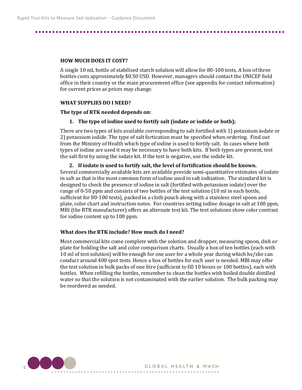#### **HOW MUCH DOES IT COST?**

A single 10 mL bottle of stabilised starch solution will allow for 80-100 tests. A box of three bottles costs approximately \$0.50 USD. However, managers should contact the UNICEF field office in their country or the main procurement office (see appendix for contact information) for current prices as prices may change.

#### **WHAT SUPPLIES DO I NEED?**

#### **The type of RTK needed depends on:**

### **1. The type of iodine used to fortify salt (iodate or iodide or both);**

There are two types of kits available corresponding to salt fortified with 1) potassium iodate or 2) potassium iodide. The type of salt fortication must be specified when ordering. Find out from the Ministry of Health which type of iodine is used to fortify salt. In cases where both types of iodine are used it may be necessary to have both kits. If both types are present, test the salt first by using the iodate kit. If the test is negative, use the iodide kit.

**2. If iodate is used to fortify salt, the level of fortification should be known.**  Several commercially available kits are available provide semi-quantitative estimates of iodate in salt as that is the most common form of iodine used in salt iodisation. The standard kit is designed to check the presence of iodine in salt (fortified with potassium iodate) over the range of 0-50 ppm and consists of two bottles of the test solution (10 ml in each bottle, sufficient for 80-100 tests), packed in a cloth pouch along with a stainless steel spoon and plate, color chart and instruction notes. For countries setting iodine dosage in salt at 100 ppm, MBI (the RTK manufacturer) offers an alternate test kit. The test solutions show color contrast for iodine content up to 100 ppm.

## **What does the RTK include? How much do I need?**

Most commercial kits come complete with the solution and dropper, measuring spoon, dish or plate for holding the salt and color comparison charts. Usually a box of ten bottles (each with 10 ml of test solution) will be enough for one user for a whole year during which he/she can conduct around 400 spot tests. Hence a box of bottles for each user is needed. MBI may offer the test solution in bulk packs of one litre (sufficient to fill 10 boxes or 100 bottles), each with bottles. When refilling the bottles, remember to clean the bottles with boiled double distilled water so that the solution is not contaminated with the earlier solution. The bulk packing may be reordered as needed.

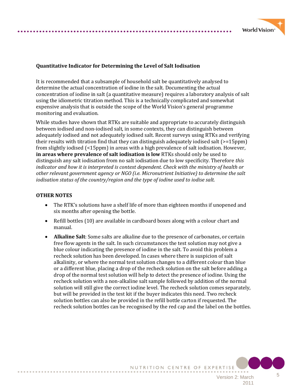

# **Quantitative Indicator for Determining the Level of Salt Iodisation**

It is recommended that a subsample of household salt be quantitatively analysed to determine the actual concentration of iodine in the salt. Documenting the actual concentration of iodine in salt (a quantitative measure) requires a laboratory analysis of salt using the idiometric titration method. This is a technically complicated and somewhat expensive analysis that is outside the scope of the World Vision's general programme monitoring and evaluation.

While studies have shown that RTKs are suitable and appropriate to accurately distinguish between iodised and non-iodised salt, in some contexts, they can distinguish between adequately iodised and not adequately iodised salt. Recent surveys using RTKs and verifying their results with titration find that they can distinguish adequately iodised salt (>=15ppm) from slightly iodised (<15ppm) in areas with a high prevalence of salt iodisation. However, **in areas where prevalence of salt iodisation is low** RTKs should only be used to distinguish any salt iodisation from no salt iodisation due to low specificity. Therefore *this indicator and how it is interpreted is context dependent. Check with the ministry of health or other relevant government agency or NGO (i.e. Micronutrient Initiative) to determine the salt iodisation status of the country/region and the type of iodine used to iodise salt.* 

### **OTHER NOTES**

- The RTK's solutions have a shelf life of more than eighteen months if unopened and six months after opening the bottle.
- Refill bottles (10) are available in cardboard boxes along with a colour chart and manual.
- **Alkaline Salt**: Some salts are alkaline due to the presence of carbonates, or certain free flow agents in the salt. In such circumstances the test solution may not give a blue colour indicating the presence of iodine in the salt. To avoid this problem a recheck solution has been developed. In cases where there is suspicion of salt alkalinity, or where the normal test solution changes to a different colour than blue or a different blue, placing a drop of the recheck solution on the salt before adding a drop of the normal test solution will help to detect the presence of iodine. Using the recheck solution with a non-alkaline salt sample followed by addition of the normal solution will still give the correct iodine level. The recheck solution comes separately, but will be provided in the test kit if the buyer indicates this need. Two recheck solution bottles can also be provided in the refill bottle carton if requested. The recheck solution bottles can be recognised by the red cap and the label on the bottles.

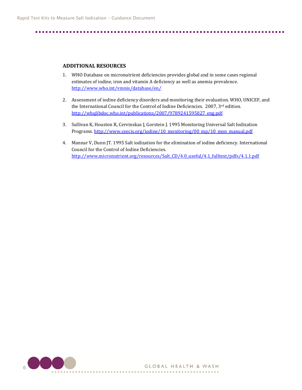#### **ADDITIONAL RESOURCES**

- 1. WHO Database on micronutrient deficiencies provides global and in some cases regional estimates of iodine, iron and vitamin A deficiency as well as anemia prevalence. <http://www.who.int/vmnis/database/en/>
- 2. Assessment of iodine deficiency disorders and monitoring their evaluation. WHO, UNICEF, and the International Council for the Control of Iodine Deficiencies. 2007, 3rd edition. [http://whqlibdoc.who.int/publications/2007/9789241595827\\_eng.pdf](http://whqlibdoc.who.int/publications/2007/9789241595827_eng.pdf)
- 3. Sullivan K, Houston R, Cervinskas J, Gorstein J. 1995 Monitoring Universal Salt Iodization Programs. [http://www.ceecis.org/iodine/10\\_monitoring/00\\_mp/10\\_mon\\_manual.pdf](http://www.ceecis.org/iodine/10_monitoring/00_mp/10_mon_manual.pdf)
- 4. Mannar V, Dunn JT. 1995 Salt iodization for the elimination of iodine deficiency. International Council for the Control of Iodine Deficiencies. http://www.micronutrient.org/resources/Salt CD/4.0\_useful/4.1\_fulltext/pdfs/4.1.1.pdf